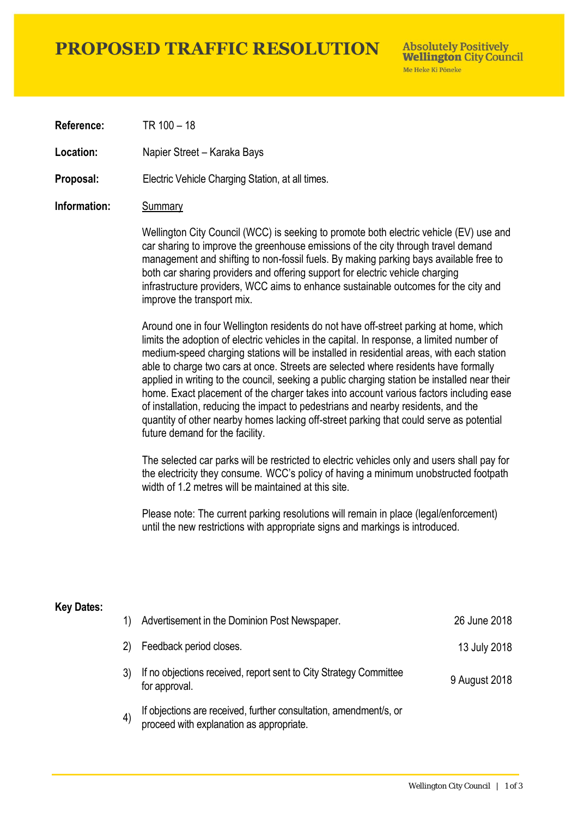# **PROPOSED TRAFFIC RESOLUTION**

**Absolutely Positively Wellington City Council** Me Heke Ki Pôneke

**Reference:** TR 100 – 18

Location: Napier Street – Karaka Bays

**Proposal:** Electric Vehicle Charging Station, at all times.

### **Information:** Summary

Wellington City Council (WCC) is seeking to promote both electric vehicle (EV) use and car sharing to improve the greenhouse emissions of the city through travel demand management and shifting to non-fossil fuels. By making parking bays available free to both car sharing providers and offering support for electric vehicle charging infrastructure providers, WCC aims to enhance sustainable outcomes for the city and improve the transport mix.

Around one in four Wellington residents do not have off-street parking at home, which limits the adoption of electric vehicles in the capital. In response, a limited number of medium-speed charging stations will be installed in residential areas, with each station able to charge two cars at once. Streets are selected where residents have formally applied in writing to the council, seeking a public charging station be installed near their home. Exact placement of the charger takes into account various factors including ease of installation, reducing the impact to pedestrians and nearby residents, and the quantity of other nearby homes lacking off-street parking that could serve as potential future demand for the facility.

The selected car parks will be restricted to electric vehicles only and users shall pay for the electricity they consume. WCC's policy of having a minimum unobstructed footpath width of 1.2 metres will be maintained at this site.

Please note: The current parking resolutions will remain in place (legal/enforcement) until the new restrictions with appropriate signs and markings is introduced.

#### **Key Dates:**

| 1)  | Advertisement in the Dominion Post Newspaper.                                                                 | 26 June 2018  |
|-----|---------------------------------------------------------------------------------------------------------------|---------------|
| (2) | Feedback period closes.                                                                                       | 13 July 2018  |
|     | If no objections received, report sent to City Strategy Committee<br>for approval.                            | 9 August 2018 |
|     | If objections are received, further consultation, amendment/s, or<br>proceed with explanation as appropriate. |               |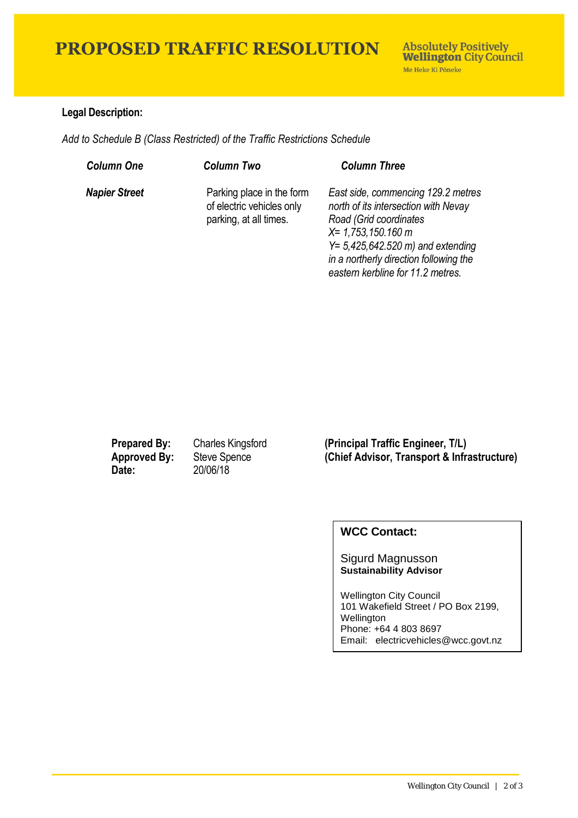# **PROPOSED TRAFFIC RESOLUTION**

## **Legal Description:**

*Add to Schedule B (Class Restricted) of the Traffic Restrictions Schedule* 

| <b>Column One</b>    | <b>Column Two</b>                                                                | <b>Column Three</b>                                                                                                                                                                                                                                  |
|----------------------|----------------------------------------------------------------------------------|------------------------------------------------------------------------------------------------------------------------------------------------------------------------------------------------------------------------------------------------------|
| <b>Napier Street</b> | Parking place in the form<br>of electric vehicles only<br>parking, at all times. | East side, commencing 129.2 metres<br>north of its intersection with Nevay<br>Road (Grid coordinates<br>$X = 1,753,150.160$ m<br>$Y = 5,425,642.520$ m) and extending<br>in a northerly direction following the<br>eastern kerbline for 11.2 metres. |

**Date:** 20/06/18

**Prepared By:** Charles Kingsford **(Principal Traffic Engineer, T/L) Approved By:** Steve Spence **(Chief Advisor, Transport & Infrastructure)**

## **WCC Contact:**

#### Sigurd Magnusson **Sustainability Advisor**

Wellington City Council 101 Wakefield Street / PO Box 2199, Wellington Phone: +64 4 803 8697 Email: electricvehicles@wcc.govt.nz